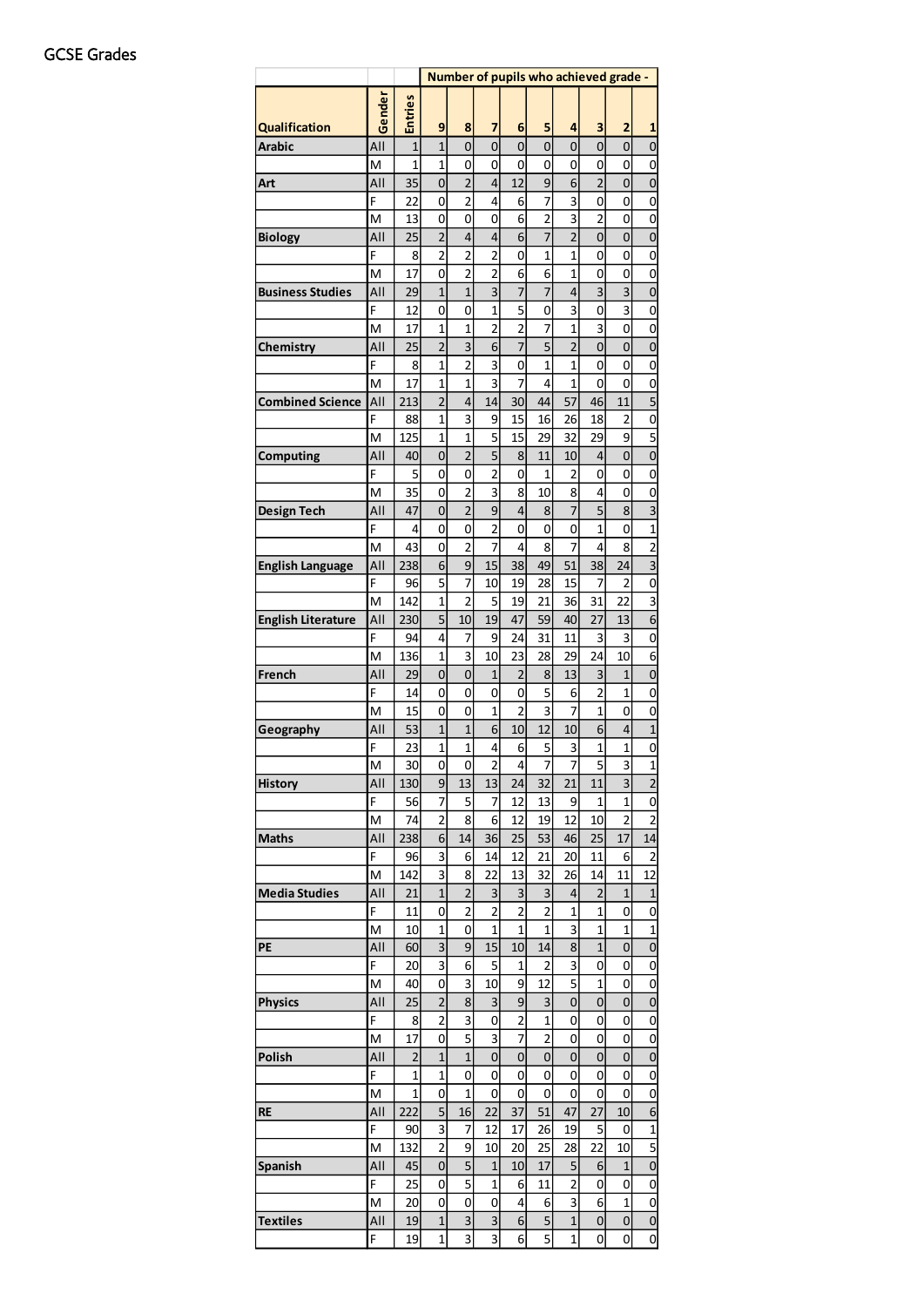|                           |          |                         | Number of pupils who achieved grade - |                         |                         |                         |                |                   |                     |                |                               |
|---------------------------|----------|-------------------------|---------------------------------------|-------------------------|-------------------------|-------------------------|----------------|-------------------|---------------------|----------------|-------------------------------|
|                           | Gender   | <b>Entries</b>          |                                       |                         |                         |                         |                |                   |                     |                |                               |
| <b>Qualification</b>      |          |                         | 9                                     | 8                       | 7                       | 6                       | 5              | 4                 | 3                   | $\overline{2}$ | 1                             |
| Arabic                    | All      | $\mathbf{1}$            | $\mathbf{1}$                          | $\mathbf 0$             | 0                       | $\mathbf 0$             | 0              | $\mathbf 0$       | 0                   | $\mathbf 0$    | $\mathbf{0}$                  |
|                           | M<br>All | $\overline{1}$<br>35    | 1                                     | 0<br>2                  | 0<br>4                  | 0<br>12                 | 0<br>9         | 0<br>6            | 0<br>$\overline{c}$ | 0<br>0         | 0                             |
| Art                       | F        | 22                      | 0<br>0                                | $\overline{\mathbf{c}}$ | 4                       | 6                       | 7              | 3                 | 0                   | 0              | 0<br>0                        |
|                           | M        | 13                      | 0                                     | 0                       | 0                       | 6                       | 2              | 3                 | 2                   | 0              | 0                             |
| <b>Biology</b>            | All      | 25                      | $\overline{c}$                        | $\overline{\mathbf{r}}$ | 4                       | 6                       | $\overline{7}$ | $\overline{2}$    | 0                   | 0              | $\mathbf{0}$                  |
|                           | F        | 8                       | $\overline{2}$                        | $\overline{2}$          | $\overline{2}$          | 0                       | 1              | $\mathbf{1}$      | 0                   | 0              | 0                             |
|                           | M        | 17                      | 0                                     | $\overline{c}$          | 2                       | 6                       | 6              | 1                 | 0                   | 0              | 0                             |
| <b>Business Studies</b>   | All      | 29                      | $\mathbf{1}$                          | $\overline{1}$          | 3                       | $\overline{7}$          | 7              | 4                 | 3                   | 3              | $\mathbf{0}$                  |
|                           | F        | 12                      | 0                                     | $\mathbf 0$             | $\mathbf{1}$            | 5                       | 0              | 3                 | 0                   | 3              | $\mathbf{0}$                  |
|                           | M        | 17                      | 1                                     | $\overline{1}$          | $\overline{2}$          | $\overline{2}$          | 7              | $\overline{1}$    | 3                   | 0              | 0                             |
| Chemistry                 | All      | 25                      | $\overline{2}$                        | 3                       | 6                       | $\overline{7}$          | 5              | $\overline{2}$    | 0                   | 0              | $\mathbf{0}$                  |
|                           | F        | 8                       | 1                                     | $\overline{2}$          | 3                       | 0                       | $\overline{1}$ | $\overline{1}$    | 0                   | 0              | 0                             |
|                           | M        | 17                      | 1                                     | $\overline{1}$          | 3                       | $\overline{7}$          | 4              | $\overline{1}$    | 0                   | 0              | 0                             |
| <b>Combined Science</b>   | All      | 213                     | $\overline{2}$                        | 4                       | 14                      | 30                      | 44             | 57                | 46                  | 11             | 5                             |
|                           | F        | 88                      | 1                                     | 3                       | 9                       | 15                      | 16             | 26                | 18                  | 2              | 0                             |
|                           | M        | 125                     | 1                                     | $\mathbf{1}$            | 5                       | 15                      | 29             | 32                | 29                  | 9              | 5                             |
| Computing                 | All      | 40                      | 0                                     | $\overline{2}$          | 5                       | 8                       | 11             | 10                | 4                   | 0              | $\mathbf{0}$                  |
|                           | F        | 5                       | 0                                     | 0                       | $\overline{2}$          | 0                       | 1              | 2                 | 0                   | 0              | 0                             |
|                           | M        | 35                      | 0                                     | $\overline{2}$          | 3                       | 8                       | 10             | 8                 | 4                   | 0              | 0                             |
| <b>Design Tech</b>        | All      | 47                      | 0                                     | $\overline{2}$          | 9                       | 4                       | 8              | 7                 | 5                   | 8              | $\overline{\mathbf{3}}$       |
|                           | F        | 4                       | 0                                     | 0                       | 2                       | 0                       | 0              | 0                 | 1                   | 0              | $\mathbf{1}$                  |
|                           | M        | 43                      | 0                                     | 2                       | 7                       | 4                       | 8              | 7                 | 4                   | 8              | $\overline{\mathbf{c}}$       |
| <b>English Language</b>   | All      | 238                     | 6                                     | 9                       | 15                      | 38                      | 49             | 51                | 38                  | 24             | 3                             |
|                           | F        | 96                      | 5                                     | 7                       | 10                      | 19                      | 28             | 15                | 7                   | 2              | 0                             |
|                           | M        | 142                     | 1                                     | $\overline{2}$          | 5                       | 19                      | 21             | 36                | 31                  | 22             | 3                             |
| <b>English Literature</b> | All      | 230                     | 5                                     | 10                      | 19                      | 47                      | 59             | 40                | 27                  | 13             | 6                             |
|                           | F        | 94                      | 4                                     | 7                       | 9                       | 24                      | 31             | 11                | 3                   | 3              | 0                             |
|                           | M        | 136                     | 1                                     | 3                       | 10                      | 23                      | 28             | 29                | 24                  | 10             | 6                             |
| French                    | All      | 29                      | 0                                     | $\mathbf{0}$            | 1                       | $\overline{c}$          | 8              | 13                | 3                   | 1              | $\mathbf{0}$                  |
|                           | F        | 14                      | 0                                     | 0                       | 0                       | 0                       | 5              | 6                 | 2                   | 1              | 0                             |
|                           | M        | 15                      | 0                                     | 0                       | $\mathbf{1}$            | $\overline{c}$          | 3              | 7                 | 1                   | 0              | 0                             |
| Geography                 | All      | 53                      | $\mathbf{1}$                          | $\overline{1}$          | 6                       | 10                      | 12             | 10                | 6                   | 4              | $\mathbf{1}$                  |
|                           | F        | 23                      | 1                                     | $\overline{1}$          | 4                       | 6                       | 5              | 3                 | 1                   | 1              | 0                             |
|                           | M        | 30                      | 0                                     | 0                       | $\overline{\mathbf{c}}$ | 4                       | I              | $\frac{1}{2}$     | ל                   | 3              | $\overline{1}$                |
| <b>History</b>            | All      | 130                     | 9                                     | 13                      | 13                      | 24                      | 32             | 21                | 11                  | 3              | $\overline{c}$                |
|                           | F        | 56                      | 7                                     | 5                       | 7                       | 12                      | 13             | 9                 | 1                   | 1              | 0                             |
|                           | M        | 74                      | $\overline{2}$                        | 8                       | 6                       | 12                      | 19             | 12                | 10                  | $\overline{2}$ | $\overline{c}$                |
| <b>Maths</b>              | All      | 238                     | 6                                     | 14                      | 36                      | 25                      | 53             | 46                | 25                  | 17             | 14                            |
|                           | F<br>M   | 96<br>142               | 3<br>3                                | 6<br>8                  | 14<br>22                | 12<br>13                | 21<br>32       | 20<br>26          | 11<br>14            | 6<br>11        | $\overline{\mathbf{c}}$<br>12 |
| <b>Media Studies</b>      | All      | 21                      |                                       | $\overline{2}$          |                         | 3                       |                |                   | $\overline{2}$      |                |                               |
|                           | F        | 11                      | 1<br>0                                | $\overline{\mathbf{c}}$ | 3<br>2                  | $\overline{\mathbf{c}}$ | З<br>2         | 4<br>$\mathbf{1}$ | $\mathbf 1$         | 1<br>0         | $\mathbf{1}$<br>0             |
|                           | M        | 10                      | 1                                     | 0                       | $\mathbf 1$             | 1                       | $\mathbf{1}$   | 3                 | $\mathbf 1$         | 1              | $\mathbf{1}$                  |
| PE                        | All      | 60                      | 3                                     | 9                       | 15                      | 10                      | 14             | 8                 | $\mathbf 1$         | 0              | $\mathbf{0}$                  |
|                           | F        | 20                      | 3                                     | 6                       | 5                       | 1                       | 2              | 3                 | 0                   | 0              | 0                             |
|                           | M        | 40                      | 0                                     | 3                       | 10                      | 9                       | 12             | 5                 | 1                   | 0              | 0                             |
| <b>Physics</b>            | All      | 25                      | 2                                     | 8                       | 3                       | 9                       | 3              | 0                 | 0                   | 0              | $\mathbf 0$                   |
|                           | F        | 8                       | 2                                     | 3                       | 0                       | $\overline{\mathbf{c}}$ | $\mathbf 1$    | 0                 | 0                   | 0              | 0                             |
|                           | M        | 17                      | 0                                     | 5                       | 3                       | $\overline{7}$          | 2              | 0                 | 0                   | 0              | 0                             |
| Polish                    | All      | $\overline{\mathbf{c}}$ | $\mathbf{1}$                          | $\mathbf{1}$            | 0                       | 0                       | 0              | 0                 | 0                   | 0              | $\mathbf{0}$                  |
|                           | F        | 1                       | 1                                     | 0                       | 0                       | 0                       | 0              | 0                 | 0                   | 0              | 0                             |
|                           | M        | $\mathbf{1}$            | 0                                     | $\mathbf{1}$            | 0                       | 0                       | 0              | 0                 | 0                   | 0              | 0                             |
| RE                        | All      | 222                     | 5                                     | 16                      | 22                      | 37                      | 51             | 47                | 27                  | 10             | $\boldsymbol{6}$              |
|                           | F        | 90                      | 3                                     | 7                       | 12                      | 17                      | 26             | 19                | 5                   | 0              | $\mathbf{1}$                  |
|                           | M        | 132                     | $\overline{2}$                        | 9                       | 10                      | 20                      | 25             | 28                | 22                  | 10             | 5                             |
| <b>Spanish</b>            | All      | 45                      | 0                                     | 5                       | $\mathbf{1}$            | 10                      | 17             | 5                 | 6                   | 1              | $\mathbf{0}$                  |
|                           | F        | 25                      | 0                                     | $\overline{5}$          | 1                       | 6                       | 11             | $\overline{2}$    | 0                   | 0              | 0                             |
|                           | M        | 20                      | 0                                     | 0                       | 0                       | 4                       | 6              | 3                 | 6                   | $\mathbf{1}$   | 0                             |
| <b>Textiles</b>           | All      | 19                      | 1                                     | 3                       | 3                       | 6                       | 5              | $\mathbf{1}$      | 0                   | 0              | 0                             |
|                           | F        | 19                      | $\overline{1}$                        | 3                       | $\overline{3}$          | 6                       | 5              | $\overline{1}$    | 0                   | 0              | O                             |